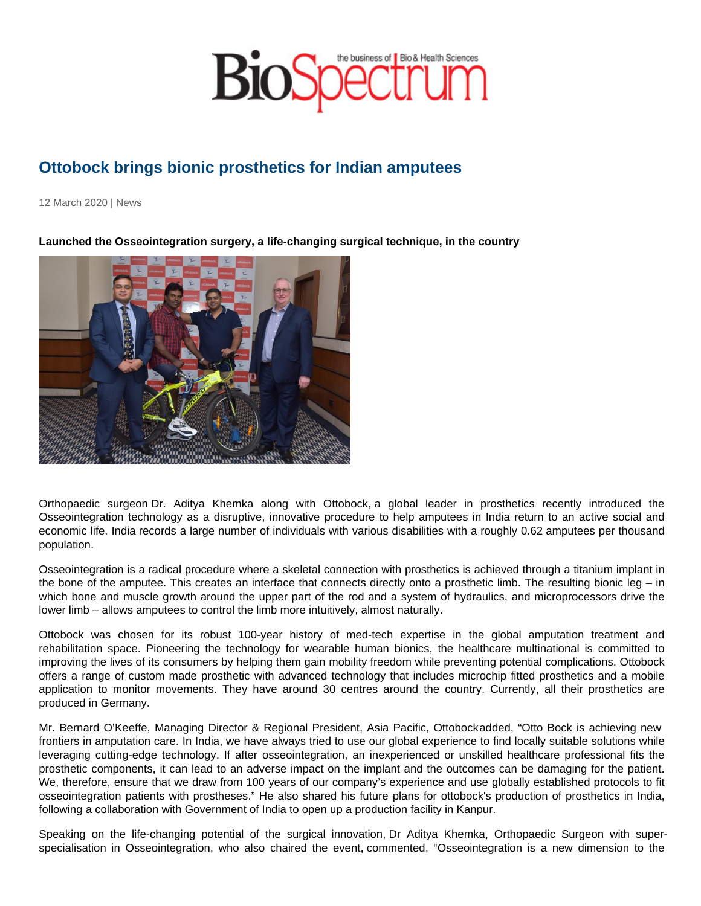## Ottobock brings bionic prosthetics for Indian amputees

12 March 2020 | News

Launched the Osseointegration surgery, a life-changing surgical technique, in the country

Orthopaedic surgeon Dr. Aditya Khemka along with Ottobock, a global leader in prosthetics recently introduced the Osseointegration technology as a disruptive, innovative procedure to help amputees in India return to an active social and economic life. India records a large number of individuals with various disabilities with a roughly 0.62 amputees per thousand population.

Osseointegration is a radical procedure where a skeletal connection with prosthetics is achieved through a titanium implant in the bone of the amputee. This creates an interface that connects directly onto a prosthetic limb. The resulting bionic leg – in which bone and muscle growth around the upper part of the rod and a system of hydraulics, and microprocessors drive the lower limb – allows amputees to control the limb more intuitively, almost naturally.

Ottobock was chosen for its robust 100-year history of med-tech expertise in the global amputation treatment and rehabilitation space. Pioneering the technology for wearable human bionics, the healthcare multinational is committed to improving the lives of its consumers by helping them gain mobility freedom while preventing potential complications. Ottobock offers a range of custom made prosthetic with advanced technology that includes microchip fitted prosthetics and a mobile application to monitor movements. They have around 30 centres around the country. Currently, all their prosthetics are produced in Germany.

Mr. Bernard O'Keeffe, Managing Director & Regional President, Asia Pacific, Ottobock added, "Otto Bock is achieving new frontiers in amputation care. In India, we have always tried to use our global experience to find locally suitable solutions while leveraging cutting-edge technology. If after osseointegration, an inexperienced or unskilled healthcare professional fits the prosthetic components, it can lead to an adverse impact on the implant and the outcomes can be damaging for the patient. We, therefore, ensure that we draw from 100 years of our company's experience and use globally established protocols to fit osseointegration patients with prostheses." He also shared his future plans for ottobock's production of prosthetics in India, following a collaboration with Government of India to open up a production facility in Kanpur.

Speaking on the life-changing potential of the surgical innovation, Dr Aditya Khemka, Orthopaedic Surgeon with superspecialisation in Osseointegration, who also chaired the event, commented, "Osseointegration is a new dimension to the